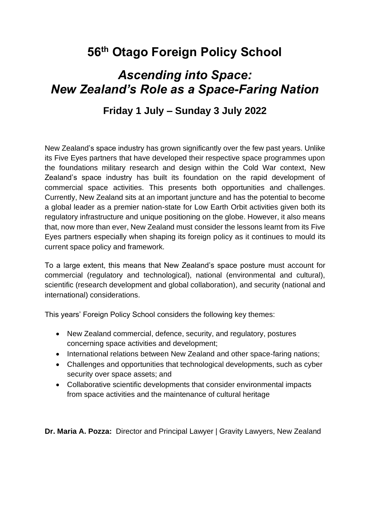# **56th Otago Foreign Policy School**

# *Ascending into Space: New Zealand's Role as a Space-Faring Nation*

## **Friday 1 July – Sunday 3 July 2022**

New Zealand's space industry has grown significantly over the few past years. Unlike its Five Eyes partners that have developed their respective space programmes upon the foundations military research and design within the Cold War context, New Zealand's space industry has built its foundation on the rapid development of commercial space activities. This presents both opportunities and challenges. Currently, New Zealand sits at an important juncture and has the potential to become a global leader as a premier nation-state for Low Earth Orbit activities given both its regulatory infrastructure and unique positioning on the globe. However, it also means that, now more than ever, New Zealand must consider the lessons learnt from its Five Eyes partners especially when shaping its foreign policy as it continues to mould its current space policy and framework.

To a large extent, this means that New Zealand's space posture must account for commercial (regulatory and technological), national (environmental and cultural), scientific (research development and global collaboration), and security (national and international) considerations.

This years' Foreign Policy School considers the following key themes:

- New Zealand commercial, defence, security, and regulatory, postures concerning space activities and development;
- International relations between New Zealand and other space-faring nations;
- Challenges and opportunities that technological developments, such as cyber security over space assets; and
- Collaborative scientific developments that consider environmental impacts from space activities and the maintenance of cultural heritage

**Dr. Maria A. Pozza:** Director and Principal Lawyer | Gravity Lawyers, New Zealand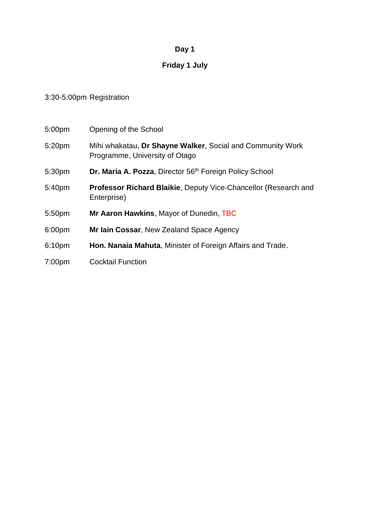## **Day 1**

## **Friday 1 July**

### 3:30-5:00pm Registration

| 5:00pm             | Opening of the School                                                                        |
|--------------------|----------------------------------------------------------------------------------------------|
| 5:20pm             | Mihi whakatau, Dr Shayne Walker, Social and Community Work<br>Programme, University of Otago |
| 5:30pm             | Dr. Maria A. Pozza, Director 56 <sup>th</sup> Foreign Policy School                          |
| 5:40pm             | <b>Professor Richard Blaikie, Deputy Vice-Chancellor (Research and</b><br>Enterprise)        |
| 5:50pm             | Mr Aaron Hawkins, Mayor of Dunedin, TBC                                                      |
| 6:00pm             | Mr lain Cossar, New Zealand Space Agency                                                     |
| 6:10pm             | Hon. Nanaia Mahuta, Minister of Foreign Affairs and Trade.                                   |
| 7:00 <sub>pm</sub> | <b>Cocktail Function</b>                                                                     |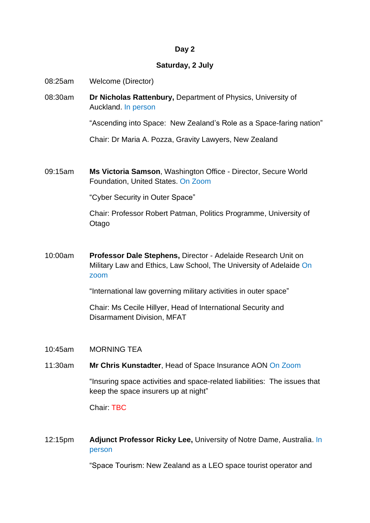#### **Day 2**

#### **Saturday, 2 July**

- 08:25am Welcome (Director)
- 08:30am **Dr Nicholas Rattenbury,** Department of Physics, University of Auckland. In person

"Ascending into Space: New Zealand's Role as a Space-faring nation"

Chair: Dr Maria A. Pozza, Gravity Lawyers, New Zealand

09:15am **Ms Victoria Samson**, Washington Office - Director, Secure World Foundation, United States. On Zoom

"Cyber Security in Outer Space"

Chair: Professor Robert Patman, Politics Programme, University of **Otago** 

10:00am **Professor Dale Stephens,** Director - Adelaide Research Unit on Military Law and Ethics, Law School, The University of Adelaide On zoom

"International law governing military activities in outer space"

Chair: Ms Cecile Hillyer, Head of International Security and Disarmament Division, MFAT

- 10:45am MORNING TEA
- 11:30am **Mr Chris Kunstadter**, Head of Space Insurance AON On Zoom

"Insuring space activities and space-related liabilities: The issues that keep the space insurers up at night"

Chair: TBC

12:15pm **Adjunct Professor Ricky Lee,** University of Notre Dame, Australia. In person

"Space Tourism: New Zealand as a LEO space tourist operator and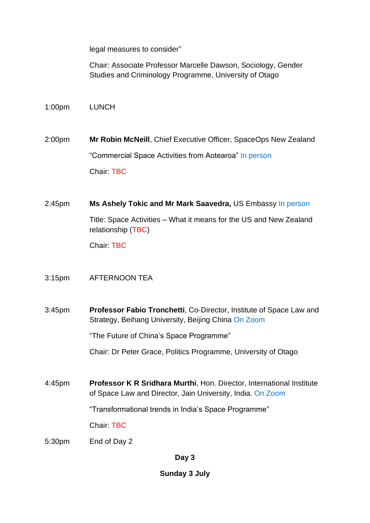legal measures to consider"

Chair: Associate Professor Marcelle Dawson, Sociology, Gender Studies and Criminology Programme, University of Otago

1:00pm LUNCH

2:00pm **Mr Robin McNeill**, Chief Executive Officer, SpaceOps New Zealand "Commercial Space Activities from Aotearoa" In person Chair: TBC

2:45pm **Ms Ashely Tokic and Mr Mark Saavedra,** US Embassy In person Title: Space Activities – What it means for the US and New Zealand relationship (TBC)

Chair: TBC

#### 3:15pm AFTERNOON TEA

3:45pm **Professor Fabio Tronchetti**, Co-Director, Institute of Space Law and Strategy, Beihang University, Beijing China On Zoom

"The Future of China's Space Programme"

Chair: Dr Peter Grace, Politics Programme, University of Otago

4:45pm **Professor K R Sridhara Murthi**, Hon. Director, International Institute of Space Law and Director, Jain University, India. On Zoom

"Transformational trends in India's Space Programme"

Chair: TBC

5:30pm End of Day 2

**Day 3**

**Sunday 3 July**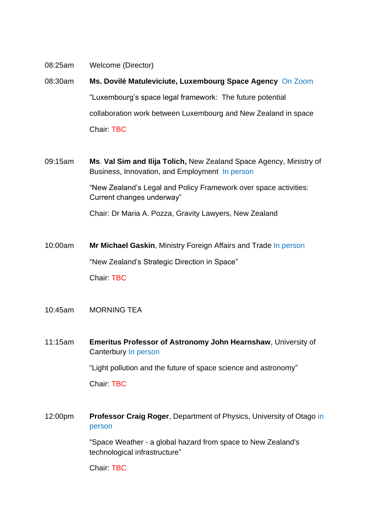- 08:25am Welcome (Director)
- 08:30am **Ms. Dovilé Matuleviciute, Luxembourg Space Agency** On Zoom "Luxembourg's space legal framework: The future potential collaboration work between Luxembourg and New Zealand in space Chair: TBC
- 09:15am **Ms**. **Val Sim and Ilija Tolich,** New Zealand Space Agency, Ministry of Business, Innovation, and Employment In person

"New Zealand's Legal and Policy Framework over space activities: Current changes underway"

Chair: Dr Maria A. Pozza, Gravity Lawyers, New Zealand

- 10:00am **Mr Michael Gaskin**, Ministry Foreign Affairs and Trade In person "New Zealand's Strategic Direction in Space" Chair: TBC
- 10:45am MORNING TEA
- 11:15am **Emeritus Professor of Astronomy John Hearnshaw**, University of Canterbury In person

"Light pollution and the future of space science and astronomy"

Chair: TBC

12:00pm **Professor Craig Roger**, Department of Physics, University of Otago in person

> "Space Weather - a global hazard from space to New Zealand's technological infrastructure"

Chair: TBC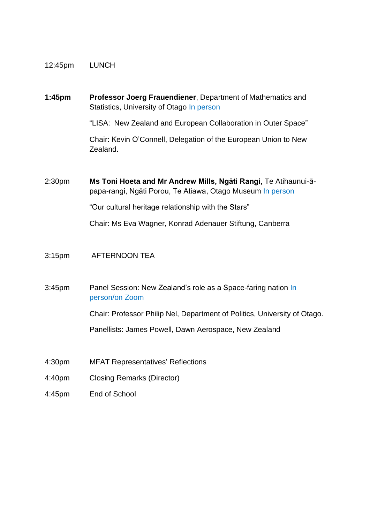#### 12:45pm LUNCH

#### **1:45pm Professor Joerg Frauendiener**, Department of Mathematics and Statistics, University of Otago In person

"LISA: New Zealand and European Collaboration in Outer Space"

Chair: Kevin O'Connell, Delegation of the European Union to New Zealand.

2:30pm **Ms Toni Hoeta and Mr Andrew Mills, Ngāti Rangi,** Te Atihaunui-āpapa-rangi, Ngāti Porou, Te Atiawa, Otago Museum In person

"Our cultural heritage relationship with the Stars"

Chair: Ms Eva Wagner, Konrad Adenauer Stiftung, Canberra

#### 3:15pm AFTERNOON TEA

3:45pm Panel Session: New Zealand's role as a Space-faring nation In person/on Zoom

Chair: Professor Philip Nel, Department of Politics, University of Otago.

Panellists: James Powell, Dawn Aerospace, New Zealand

- 4:30pm MFAT Representatives' Reflections
- 4:40pm Closing Remarks (Director)
- 4:45pm End of School